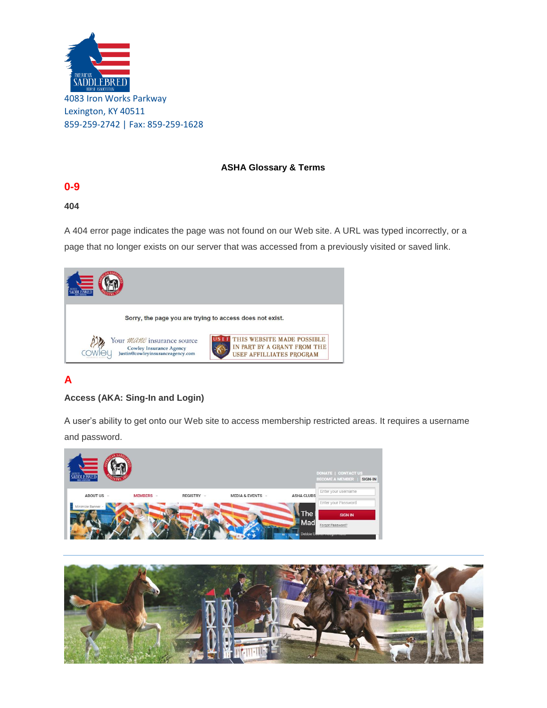

#### **ASHA Glossary & Terms**

# **0-9**

### **404**

A 404 error page indicates the page was not found on our Web site. A URL was typed incorrectly, or a page that no longer exists on our server that was accessed from a previously visited or saved link.



# **A**

## **Access (AKA: Sing-In and Login)**

A user's ability to get onto our Web site to access membership restricted areas. It requires a username and password.



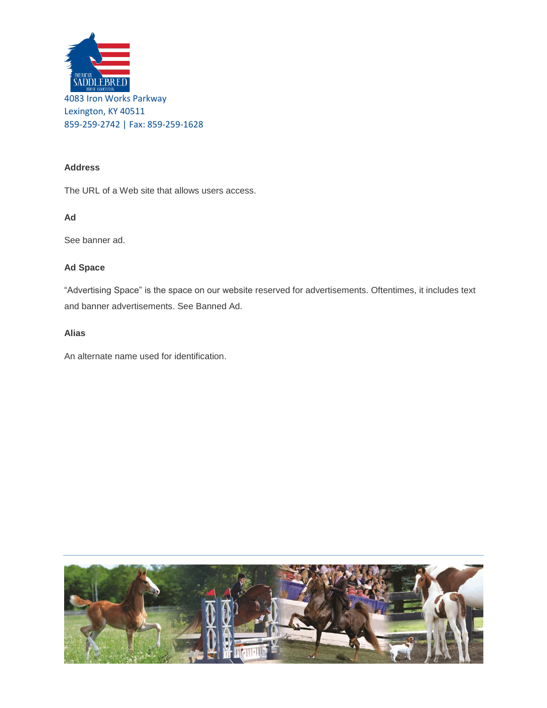

### **Address**

The URL of a Web site that allows users access.

#### **Ad**

See banner ad.

### **Ad Space**

"Advertising Space" is the space on our website reserved for advertisements. Oftentimes, it includes text and banner advertisements. See Banned Ad.

#### **Alias**

An alternate name used for identification.

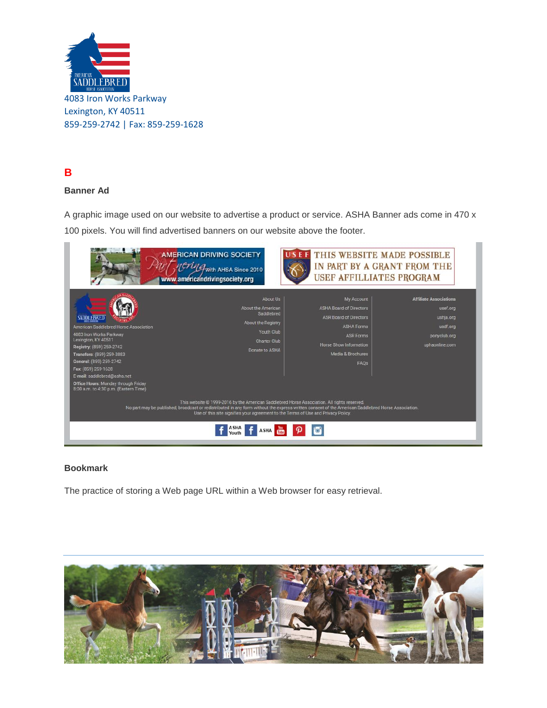

# **B**

## **Banner Ad**

A graphic image used on our website to advertise a product or service. ASHA Banner ads come in 470 x 100 pixels. You will find advertised banners on our website above the footer.



#### **Bookmark**

The practice of storing a Web page URL within a Web browser for easy retrieval.

![](_page_2_Picture_7.jpeg)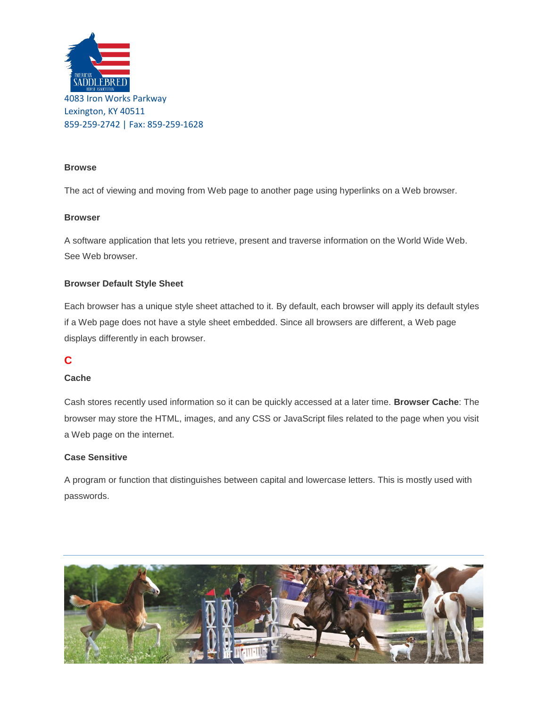![](_page_3_Picture_0.jpeg)

#### **Browse**

The act of viewing and moving from Web page to another page using hyperlinks on a Web browser.

#### **Browser**

A software application that lets you retrieve, present and traverse information on the World Wide Web. See Web browser.

#### **Browser Default Style Sheet**

Each browser has a unique style sheet attached to it. By default, each browser will apply its default styles if a Web page does not have a style sheet embedded. Since all browsers are different, a Web page displays differently in each browser.

## **C**

#### **Cache**

Cash stores recently used information so it can be quickly accessed at a later time. **Browser Cache**: The browser may store the HTML, images, and any CSS or JavaScript files related to the page when you visit a Web page on the internet.

#### **Case Sensitive**

A program or function that distinguishes between capital and lowercase letters. This is mostly used with passwords.

![](_page_3_Picture_12.jpeg)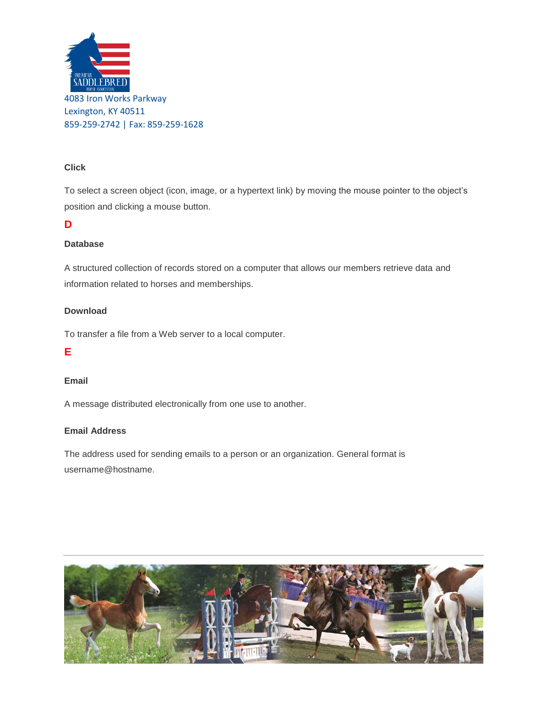![](_page_4_Picture_0.jpeg)

#### **Click**

To select a screen object (icon, image, or a hypertext link) by moving the mouse pointer to the object's position and clicking a mouse button.

## **D**

#### **Database**

A structured collection of records stored on a computer that allows our members retrieve data and information related to horses and memberships.

#### **Download**

To transfer a file from a Web server to a local computer.

#### **E**

#### **Email**

A message distributed electronically from one use to another.

#### **Email Address**

The address used for sending emails to a person or an organization. General format is username@hostname.

![](_page_4_Picture_13.jpeg)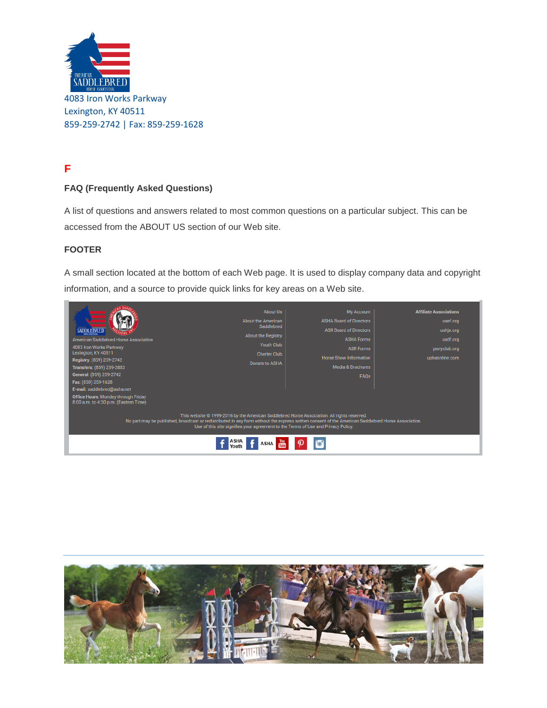![](_page_5_Picture_0.jpeg)

# **F**

## **FAQ (Frequently Asked Questions)**

A list of questions and answers related to most common questions on a particular subject. This can be accessed from the ABOUT US section of our Web site.

#### **FOOTER**

A small section located at the bottom of each Web page. It is used to display company data and copyright information, and a source to provide quick links for key areas on a Web site.

![](_page_5_Picture_6.jpeg)

![](_page_5_Picture_7.jpeg)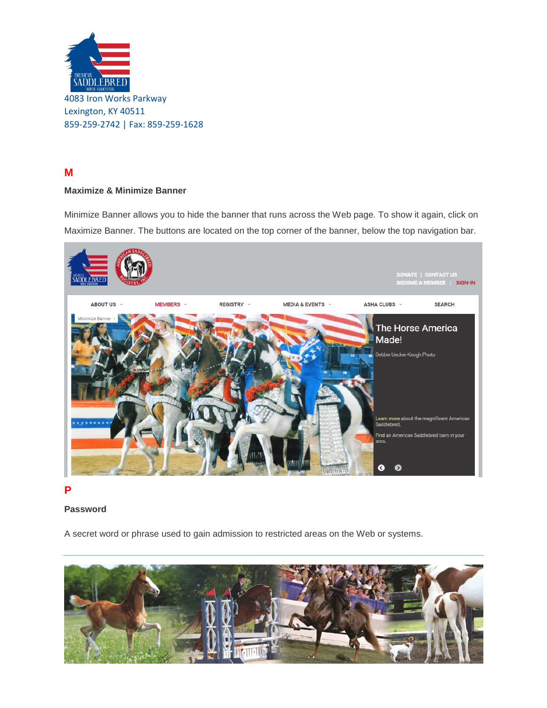![](_page_6_Picture_0.jpeg)

# **M**

## **Maximize & Minimize Banner**

Minimize Banner allows you to hide the banner that runs across the Web page. To show it again, click on Maximize Banner. The buttons are located on the top corner of the banner, below the top navigation bar.

![](_page_6_Picture_4.jpeg)

#### **P**

#### **Password**

A secret word or phrase used to gain admission to restricted areas on the Web or systems.

![](_page_6_Picture_8.jpeg)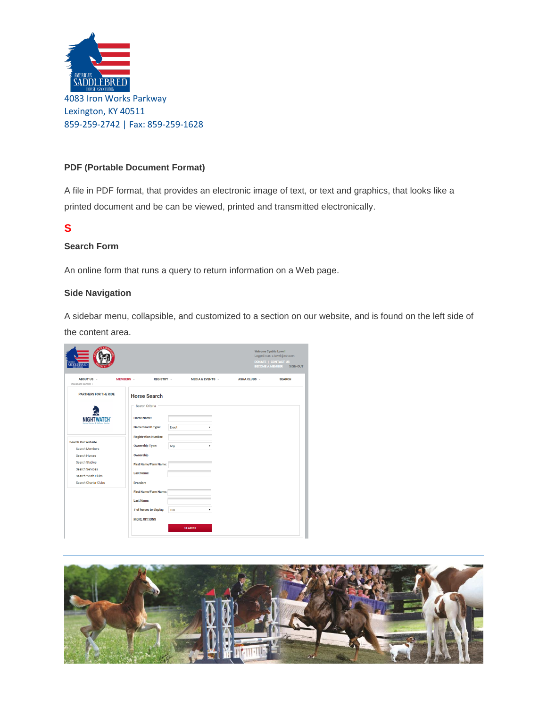![](_page_7_Picture_0.jpeg)

#### **PDF (Portable Document Format)**

A file in PDF format, that provides an electronic image of text, or text and graphics, that looks like a printed document and be can be viewed, printed and transmitted electronically.

## **S**

### **Search Form**

An online form that runs a query to return information on a Web page.

#### **Side Navigation**

A sidebar menu, collapsible, and customized to a section on our website, and is found on the left side of the content area.

|                                                           |                                                                   | Welcome Cynthia Lowell<br>Logged in as: c.lowell@asha.net<br><b>DONATE   CONTACT US</b><br><b>BECOME A MEMBER   SIGN-OUT</b> |  |  |
|-----------------------------------------------------------|-------------------------------------------------------------------|------------------------------------------------------------------------------------------------------------------------------|--|--|
| ABOUT US -<br>Maximize Banner +                           | MEMBERS -<br>REGISTRY -<br>MEDIA & EVENTS -                       | <b>ASHA CLUBS -</b><br><b>SEARCH</b>                                                                                         |  |  |
| <b>PARTNERS FOR THE RIDE</b>                              | <b>Horse Search</b><br>Search Criteria                            |                                                                                                                              |  |  |
| <b>NIGHTWATCH</b>                                         | <b>Horse Name:</b><br>Name Search Type:<br>Exact                  |                                                                                                                              |  |  |
| <b>Search Our Website</b><br>Search Members               | <b>Registration Number:</b><br><b>Ownership Type:</b><br>Any<br>٠ |                                                                                                                              |  |  |
| Search Horses<br>Search Stables<br><b>Search Services</b> | Ownership<br><b>First Name/Farm Name:</b><br><b>Last Name:</b>    |                                                                                                                              |  |  |
| Search Youth Clubs<br>Search Charter Clubs                | <b>Breeders</b><br><b>First Name/Farm Name:</b>                   |                                                                                                                              |  |  |
|                                                           | <b>Last Name:</b><br># of horses to display:<br>100<br>۰          |                                                                                                                              |  |  |
|                                                           | <b>MORE OPTIONS</b><br><b>SEARCH</b>                              |                                                                                                                              |  |  |

![](_page_7_Picture_9.jpeg)